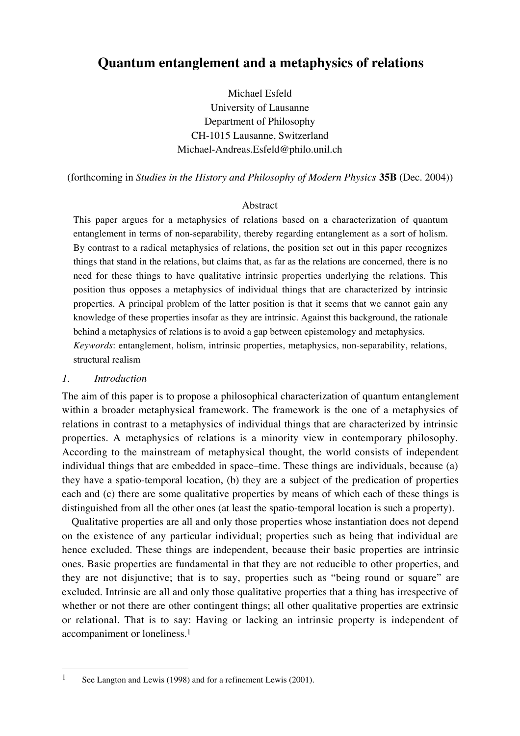# **Quantum entanglement and a metaphysics of relations**

Michael Esfeld University of Lausanne Department of Philosophy CH-1015 Lausanne, Switzerland Michael-Andreas.Esfeld@philo.unil.ch

(forthcoming in *Studies in the History and Philosophy of Modern Physics* **35B** (Dec. 2004))

## Abstract

This paper argues for a metaphysics of relations based on a characterization of quantum entanglement in terms of non-separability, thereby regarding entanglement as a sort of holism. By contrast to a radical metaphysics of relations, the position set out in this paper recognizes things that stand in the relations, but claims that, as far as the relations are concerned, there is no need for these things to have qualitative intrinsic properties underlying the relations. This position thus opposes a metaphysics of individual things that are characterized by intrinsic properties. A principal problem of the latter position is that it seems that we cannot gain any knowledge of these properties insofar as they are intrinsic. Against this background, the rationale behind a metaphysics of relations is to avoid a gap between epistemology and metaphysics. *Keywords*: entanglement, holism, intrinsic properties, metaphysics, non-separability, relations, structural realism

## *1. Introduction*

 $\overline{a}$ 

The aim of this paper is to propose a philosophical characterization of quantum entanglement within a broader metaphysical framework. The framework is the one of a metaphysics of relations in contrast to a metaphysics of individual things that are characterized by intrinsic properties. A metaphysics of relations is a minority view in contemporary philosophy. According to the mainstream of metaphysical thought, the world consists of independent individual things that are embedded in space–time. These things are individuals, because (a) they have a spatio-temporal location, (b) they are a subject of the predication of properties each and (c) there are some qualitative properties by means of which each of these things is distinguished from all the other ones (at least the spatio-temporal location is such a property).

Qualitative properties are all and only those properties whose instantiation does not depend on the existence of any particular individual; properties such as being that individual are hence excluded. These things are independent, because their basic properties are intrinsic ones. Basic properties are fundamental in that they are not reducible to other properties, and they are not disjunctive; that is to say, properties such as "being round or square" are excluded. Intrinsic are all and only those qualitative properties that a thing has irrespective of whether or not there are other contingent things; all other qualitative properties are extrinsic or relational. That is to say: Having or lacking an intrinsic property is independent of accompaniment or loneliness.1

<sup>1</sup> See Langton and Lewis (1998) and for a refinement Lewis (2001).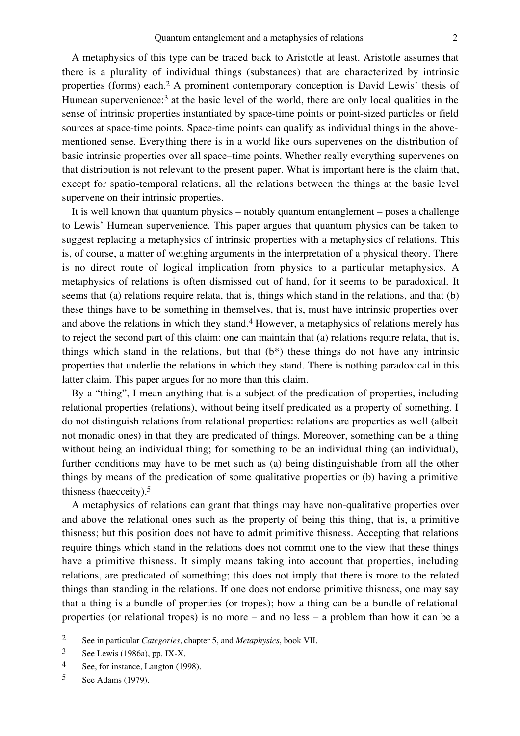A metaphysics of this type can be traced back to Aristotle at least. Aristotle assumes that there is a plurality of individual things (substances) that are characterized by intrinsic properties (forms) each.2 A prominent contemporary conception is David Lewis' thesis of Humean supervenience:<sup>3</sup> at the basic level of the world, there are only local qualities in the sense of intrinsic properties instantiated by space-time points or point-sized particles or field sources at space-time points. Space-time points can qualify as individual things in the abovementioned sense. Everything there is in a world like ours supervenes on the distribution of basic intrinsic properties over all space–time points. Whether really everything supervenes on that distribution is not relevant to the present paper. What is important here is the claim that, except for spatio-temporal relations, all the relations between the things at the basic level supervene on their intrinsic properties.

It is well known that quantum physics – notably quantum entanglement – poses a challenge to Lewis' Humean supervenience. This paper argues that quantum physics can be taken to suggest replacing a metaphysics of intrinsic properties with a metaphysics of relations. This is, of course, a matter of weighing arguments in the interpretation of a physical theory. There is no direct route of logical implication from physics to a particular metaphysics. A metaphysics of relations is often dismissed out of hand, for it seems to be paradoxical. It seems that (a) relations require relata, that is, things which stand in the relations, and that (b) these things have to be something in themselves, that is, must have intrinsic properties over and above the relations in which they stand.<sup>4</sup> However, a metaphysics of relations merely has to reject the second part of this claim: one can maintain that (a) relations require relata, that is, things which stand in the relations, but that  $(b^*)$  these things do not have any intrinsic properties that underlie the relations in which they stand. There is nothing paradoxical in this latter claim. This paper argues for no more than this claim.

By a "thing", I mean anything that is a subject of the predication of properties, including relational properties (relations), without being itself predicated as a property of something. I do not distinguish relations from relational properties: relations are properties as well (albeit not monadic ones) in that they are predicated of things. Moreover, something can be a thing without being an individual thing; for something to be an individual thing (an individual), further conditions may have to be met such as (a) being distinguishable from all the other things by means of the predication of some qualitative properties or (b) having a primitive thisness (haecceity).5

A metaphysics of relations can grant that things may have non-qualitative properties over and above the relational ones such as the property of being this thing, that is, a primitive thisness; but this position does not have to admit primitive thisness. Accepting that relations require things which stand in the relations does not commit one to the view that these things have a primitive thisness. It simply means taking into account that properties, including relations, are predicated of something; this does not imply that there is more to the related things than standing in the relations. If one does not endorse primitive thisness, one may say that a thing is a bundle of properties (or tropes); how a thing can be a bundle of relational properties (or relational tropes) is no more – and no less – a problem than how it can be a

<sup>2</sup> See in particular *Categories*, chapter 5, and *Metaphysics*, book VII.

 $3$  See Lewis (1986a), pp. IX-X.

<sup>4</sup> See, for instance, Langton (1998).

<sup>5</sup> See Adams (1979).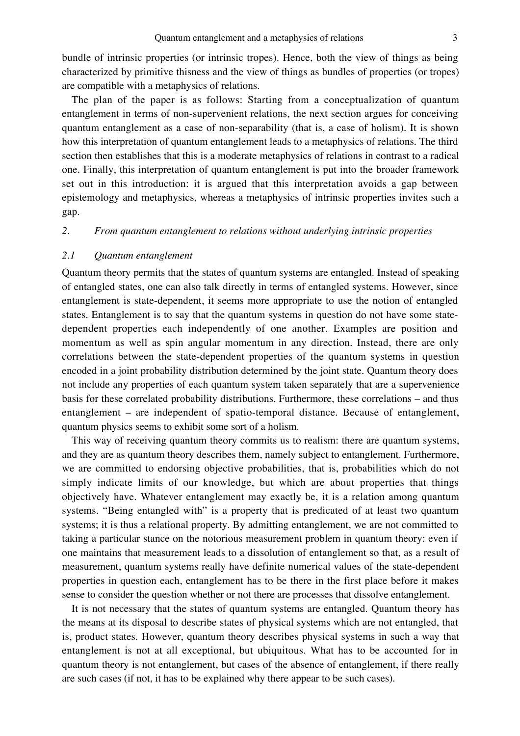bundle of intrinsic properties (or intrinsic tropes). Hence, both the view of things as being characterized by primitive thisness and the view of things as bundles of properties (or tropes) are compatible with a metaphysics of relations.

The plan of the paper is as follows: Starting from a conceptualization of quantum entanglement in terms of non-supervenient relations, the next section argues for conceiving quantum entanglement as a case of non-separability (that is, a case of holism). It is shown how this interpretation of quantum entanglement leads to a metaphysics of relations. The third section then establishes that this is a moderate metaphysics of relations in contrast to a radical one. Finally, this interpretation of quantum entanglement is put into the broader framework set out in this introduction: it is argued that this interpretation avoids a gap between epistemology and metaphysics, whereas a metaphysics of intrinsic properties invites such a gap.

## *2. From quantum entanglement to relations without underlying intrinsic properties*

### *2.1 Quantum entanglement*

Quantum theory permits that the states of quantum systems are entangled. Instead of speaking of entangled states, one can also talk directly in terms of entangled systems. However, since entanglement is state-dependent, it seems more appropriate to use the notion of entangled states. Entanglement is to say that the quantum systems in question do not have some statedependent properties each independently of one another. Examples are position and momentum as well as spin angular momentum in any direction. Instead, there are only correlations between the state-dependent properties of the quantum systems in question encoded in a joint probability distribution determined by the joint state. Quantum theory does not include any properties of each quantum system taken separately that are a supervenience basis for these correlated probability distributions. Furthermore, these correlations – and thus entanglement – are independent of spatio-temporal distance. Because of entanglement, quantum physics seems to exhibit some sort of a holism.

This way of receiving quantum theory commits us to realism: there are quantum systems, and they are as quantum theory describes them, namely subject to entanglement. Furthermore, we are committed to endorsing objective probabilities, that is, probabilities which do not simply indicate limits of our knowledge, but which are about properties that things objectively have. Whatever entanglement may exactly be, it is a relation among quantum systems. "Being entangled with" is a property that is predicated of at least two quantum systems; it is thus a relational property. By admitting entanglement, we are not committed to taking a particular stance on the notorious measurement problem in quantum theory: even if one maintains that measurement leads to a dissolution of entanglement so that, as a result of measurement, quantum systems really have definite numerical values of the state-dependent properties in question each, entanglement has to be there in the first place before it makes sense to consider the question whether or not there are processes that dissolve entanglement.

It is not necessary that the states of quantum systems are entangled. Quantum theory has the means at its disposal to describe states of physical systems which are not entangled, that is, product states. However, quantum theory describes physical systems in such a way that entanglement is not at all exceptional, but ubiquitous. What has to be accounted for in quantum theory is not entanglement, but cases of the absence of entanglement, if there really are such cases (if not, it has to be explained why there appear to be such cases).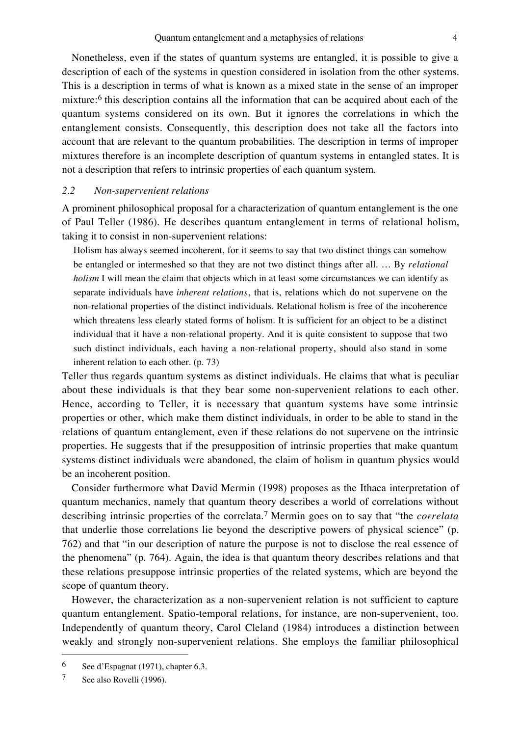Nonetheless, even if the states of quantum systems are entangled, it is possible to give a description of each of the systems in question considered in isolation from the other systems. This is a description in terms of what is known as a mixed state in the sense of an improper mixture:<sup>6</sup> this description contains all the information that can be acquired about each of the quantum systems considered on its own. But it ignores the correlations in which the entanglement consists. Consequently, this description does not take all the factors into account that are relevant to the quantum probabilities. The description in terms of improper mixtures therefore is an incomplete description of quantum systems in entangled states. It is not a description that refers to intrinsic properties of each quantum system.

## *2.2 Non-supervenient relations*

A prominent philosophical proposal for a characterization of quantum entanglement is the one of Paul Teller (1986). He describes quantum entanglement in terms of relational holism, taking it to consist in non-supervenient relations:

Holism has always seemed incoherent, for it seems to say that two distinct things can somehow be entangled or intermeshed so that they are not two distinct things after all. … By *relational holism* I will mean the claim that objects which in at least some circumstances we can identify as separate individuals have *inherent relations*, that is, relations which do not supervene on the non-relational properties of the distinct individuals. Relational holism is free of the incoherence which threatens less clearly stated forms of holism. It is sufficient for an object to be a distinct individual that it have a non-relational property. And it is quite consistent to suppose that two such distinct individuals, each having a non-relational property, should also stand in some inherent relation to each other. (p. 73)

Teller thus regards quantum systems as distinct individuals. He claims that what is peculiar about these individuals is that they bear some non-supervenient relations to each other. Hence, according to Teller, it is necessary that quantum systems have some intrinsic properties or other, which make them distinct individuals, in order to be able to stand in the relations of quantum entanglement, even if these relations do not supervene on the intrinsic properties. He suggests that if the presupposition of intrinsic properties that make quantum systems distinct individuals were abandoned, the claim of holism in quantum physics would be an incoherent position.

Consider furthermore what David Mermin (1998) proposes as the Ithaca interpretation of quantum mechanics, namely that quantum theory describes a world of correlations without describing intrinsic properties of the correlata.7 Mermin goes on to say that "the *correlata* that underlie those correlations lie beyond the descriptive powers of physical science" (p. 762) and that "in our description of nature the purpose is not to disclose the real essence of the phenomena" (p. 764). Again, the idea is that quantum theory describes relations and that these relations presuppose intrinsic properties of the related systems, which are beyond the scope of quantum theory.

However, the characterization as a non-supervenient relation is not sufficient to capture quantum entanglement. Spatio-temporal relations, for instance, are non-supervenient, too. Independently of quantum theory, Carol Cleland (1984) introduces a distinction between weakly and strongly non-supervenient relations. She employs the familiar philosophical

<sup>6</sup> See d'Espagnat (1971), chapter 6.3.

<sup>7</sup> See also Rovelli (1996).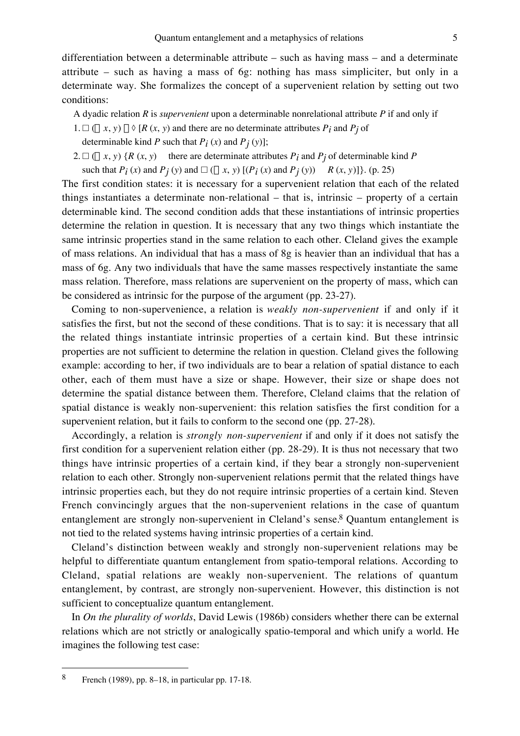differentiation between a determinable attribute – such as having mass – and a determinate attribute – such as having a mass of 6g: nothing has mass simpliciter, but only in a determinate way. She formalizes the concept of a supervenient relation by setting out two conditions:

A dyadic relation *R* is *supervenient* upon a determinable nonrelational attribute *P* if and only if

- $1. \Box$  ( $\forall x, y$ ) ~  $\Diamond$  [R (x, y) and there are no determinate attributes  $P_i$  and  $P_j$  of determinable kind *P* such that  $P_i(x)$  and  $P_j(y)$ ];
- 2.  $\Box$  ( $\forall$  *x*, *y*) {*R* (*x*, *y*)  $\Box$  there are determinate attributes  $P_i$  and  $P_j$  of determinable kind  $P$ such that  $P_i(x)$  and  $P_j(y)$  and  $\Box(\forall x, y)$   $[(P_i(x)$  and  $P_j(y)) \Box R(x, y)]$ . (p. 25)

The first condition states: it is necessary for a supervenient relation that each of the related things instantiates a determinate non-relational – that is, intrinsic – property of a certain determinable kind. The second condition adds that these instantiations of intrinsic properties determine the relation in question. It is necessary that any two things which instantiate the same intrinsic properties stand in the same relation to each other. Cleland gives the example of mass relations. An individual that has a mass of 8g is heavier than an individual that has a mass of 6g. Any two individuals that have the same masses respectively instantiate the same mass relation. Therefore, mass relations are supervenient on the property of mass, which can be considered as intrinsic for the purpose of the argument (pp. 23-27).

Coming to non-supervenience, a relation is *weakly non-supervenient* if and only if it satisfies the first, but not the second of these conditions. That is to say: it is necessary that all the related things instantiate intrinsic properties of a certain kind. But these intrinsic properties are not sufficient to determine the relation in question. Cleland gives the following example: according to her, if two individuals are to bear a relation of spatial distance to each other, each of them must have a size or shape. However, their size or shape does not determine the spatial distance between them. Therefore, Cleland claims that the relation of spatial distance is weakly non-supervenient: this relation satisfies the first condition for a supervenient relation, but it fails to conform to the second one (pp. 27-28).

Accordingly, a relation is *strongly non-supervenient* if and only if it does not satisfy the first condition for a supervenient relation either (pp. 28-29). It is thus not necessary that two things have intrinsic properties of a certain kind, if they bear a strongly non-supervenient relation to each other. Strongly non-supervenient relations permit that the related things have intrinsic properties each, but they do not require intrinsic properties of a certain kind. Steven French convincingly argues that the non-supervenient relations in the case of quantum entanglement are strongly non-supervenient in Cleland's sense.<sup>8</sup> Quantum entanglement is not tied to the related systems having intrinsic properties of a certain kind.

Cleland's distinction between weakly and strongly non-supervenient relations may be helpful to differentiate quantum entanglement from spatio-temporal relations. According to Cleland, spatial relations are weakly non-supervenient. The relations of quantum entanglement, by contrast, are strongly non-supervenient. However, this distinction is not sufficient to conceptualize quantum entanglement.

In *On the plurality of worlds*, David Lewis (1986b) considers whether there can be external relations which are not strictly or analogically spatio-temporal and which unify a world. He imagines the following test case:

<sup>8</sup> French (1989), pp. 8–18, in particular pp. 17-18.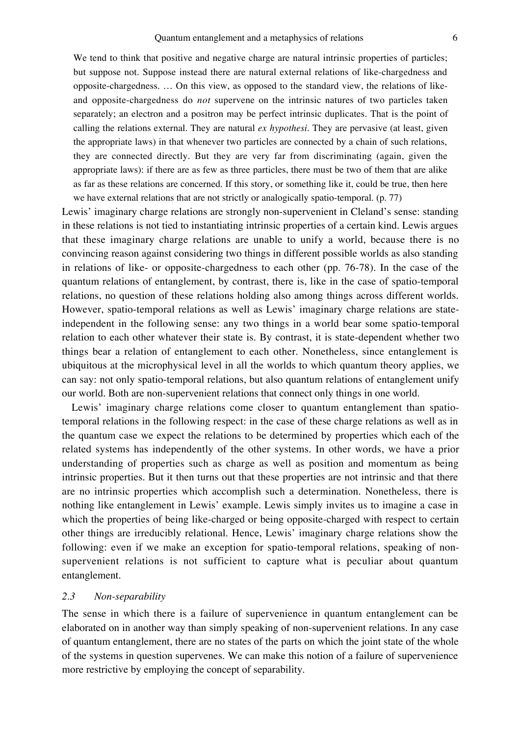We tend to think that positive and negative charge are natural intrinsic properties of particles; but suppose not. Suppose instead there are natural external relations of like-chargedness and opposite-chargedness. … On this view, as opposed to the standard view, the relations of likeand opposite-chargedness do *not* supervene on the intrinsic natures of two particles taken separately; an electron and a positron may be perfect intrinsic duplicates. That is the point of calling the relations external. They are natural *ex hypothesi*. They are pervasive (at least, given the appropriate laws) in that whenever two particles are connected by a chain of such relations, they are connected directly. But they are very far from discriminating (again, given the appropriate laws): if there are as few as three particles, there must be two of them that are alike as far as these relations are concerned. If this story, or something like it, could be true, then here we have external relations that are not strictly or analogically spatio-temporal. (p. 77)

Lewis' imaginary charge relations are strongly non-supervenient in Cleland's sense: standing in these relations is not tied to instantiating intrinsic properties of a certain kind. Lewis argues that these imaginary charge relations are unable to unify a world, because there is no convincing reason against considering two things in different possible worlds as also standing in relations of like- or opposite-chargedness to each other (pp. 76-78). In the case of the quantum relations of entanglement, by contrast, there is, like in the case of spatio-temporal relations, no question of these relations holding also among things across different worlds. However, spatio-temporal relations as well as Lewis' imaginary charge relations are stateindependent in the following sense: any two things in a world bear some spatio-temporal relation to each other whatever their state is. By contrast, it is state-dependent whether two things bear a relation of entanglement to each other. Nonetheless, since entanglement is ubiquitous at the microphysical level in all the worlds to which quantum theory applies, we can say: not only spatio-temporal relations, but also quantum relations of entanglement unify our world. Both are non-supervenient relations that connect only things in one world.

Lewis' imaginary charge relations come closer to quantum entanglement than spatiotemporal relations in the following respect: in the case of these charge relations as well as in the quantum case we expect the relations to be determined by properties which each of the related systems has independently of the other systems. In other words, we have a prior understanding of properties such as charge as well as position and momentum as being intrinsic properties. But it then turns out that these properties are not intrinsic and that there are no intrinsic properties which accomplish such a determination. Nonetheless, there is nothing like entanglement in Lewis' example. Lewis simply invites us to imagine a case in which the properties of being like-charged or being opposite-charged with respect to certain other things are irreducibly relational. Hence, Lewis' imaginary charge relations show the following: even if we make an exception for spatio-temporal relations, speaking of nonsupervenient relations is not sufficient to capture what is peculiar about quantum entanglement.

#### *2.3 Non-separability*

The sense in which there is a failure of supervenience in quantum entanglement can be elaborated on in another way than simply speaking of non-supervenient relations. In any case of quantum entanglement, there are no states of the parts on which the joint state of the whole of the systems in question supervenes. We can make this notion of a failure of supervenience more restrictive by employing the concept of separability.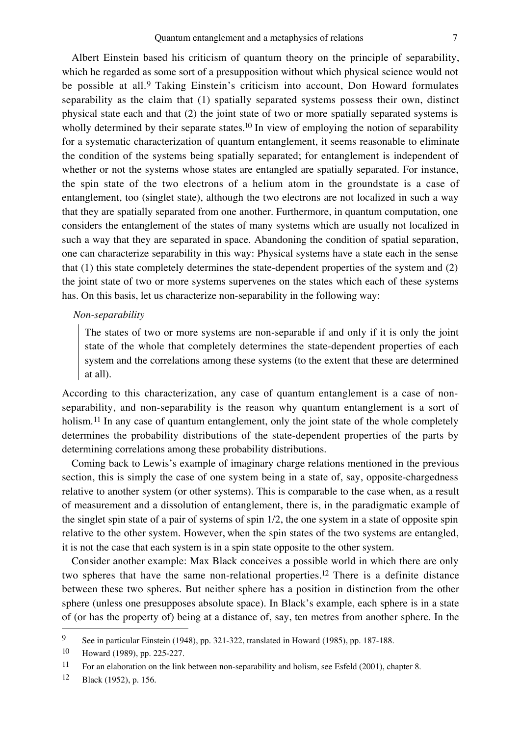Albert Einstein based his criticism of quantum theory on the principle of separability, which he regarded as some sort of a presupposition without which physical science would not be possible at all.<sup>9</sup> Taking Einstein's criticism into account, Don Howard formulates separability as the claim that (1) spatially separated systems possess their own, distinct physical state each and that (2) the joint state of two or more spatially separated systems is wholly determined by their separate states.<sup>10</sup> In view of employing the notion of separability for a systematic characterization of quantum entanglement, it seems reasonable to eliminate the condition of the systems being spatially separated; for entanglement is independent of whether or not the systems whose states are entangled are spatially separated. For instance, the spin state of the two electrons of a helium atom in the groundstate is a case of entanglement, too (singlet state), although the two electrons are not localized in such a way that they are spatially separated from one another. Furthermore, in quantum computation, one considers the entanglement of the states of many systems which are usually not localized in such a way that they are separated in space. Abandoning the condition of spatial separation, one can characterize separability in this way: Physical systems have a state each in the sense that (1) this state completely determines the state-dependent properties of the system and (2) the joint state of two or more systems supervenes on the states which each of these systems has. On this basis, let us characterize non-separability in the following way:

## *Non-separability*

The states of two or more systems are non-separable if and only if it is only the joint state of the whole that completely determines the state-dependent properties of each system and the correlations among these systems (to the extent that these are determined at all).

According to this characterization, any case of quantum entanglement is a case of nonseparability, and non-separability is the reason why quantum entanglement is a sort of holism.<sup>11</sup> In any case of quantum entanglement, only the joint state of the whole completely determines the probability distributions of the state-dependent properties of the parts by determining correlations among these probability distributions.

Coming back to Lewis's example of imaginary charge relations mentioned in the previous section, this is simply the case of one system being in a state of, say, opposite-chargedness relative to another system (or other systems). This is comparable to the case when, as a result of measurement and a dissolution of entanglement, there is, in the paradigmatic example of the singlet spin state of a pair of systems of spin 1/2, the one system in a state of opposite spin relative to the other system. However, when the spin states of the two systems are entangled, it is not the case that each system is in a spin state opposite to the other system.

Consider another example: Max Black conceives a possible world in which there are only two spheres that have the same non-relational properties.12 There is a definite distance between these two spheres. But neither sphere has a position in distinction from the other sphere (unless one presupposes absolute space). In Black's example, each sphere is in a state of (or has the property of) being at a distance of, say, ten metres from another sphere. In the  $\overline{a}$ 

<sup>9</sup> See in particular Einstein (1948), pp. 321-322, translated in Howard (1985), pp. 187-188.

<sup>10</sup> Howard (1989), pp. 225-227.

<sup>11</sup> For an elaboration on the link between non-separability and holism, see Esfeld (2001), chapter 8.

<sup>12</sup> Black (1952), p. 156.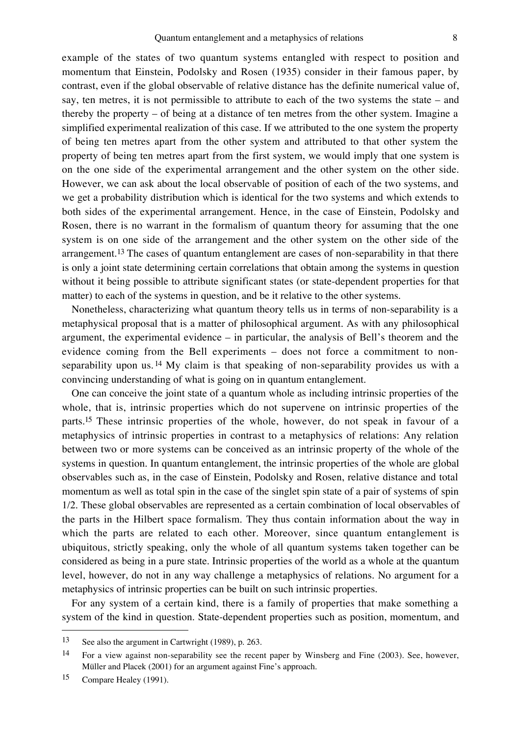example of the states of two quantum systems entangled with respect to position and momentum that Einstein, Podolsky and Rosen (1935) consider in their famous paper, by contrast, even if the global observable of relative distance has the definite numerical value of, say, ten metres, it is not permissible to attribute to each of the two systems the state – and thereby the property – of being at a distance of ten metres from the other system. Imagine a simplified experimental realization of this case. If we attributed to the one system the property of being ten metres apart from the other system and attributed to that other system the property of being ten metres apart from the first system, we would imply that one system is on the one side of the experimental arrangement and the other system on the other side. However, we can ask about the local observable of position of each of the two systems, and we get a probability distribution which is identical for the two systems and which extends to both sides of the experimental arrangement. Hence, in the case of Einstein, Podolsky and Rosen, there is no warrant in the formalism of quantum theory for assuming that the one system is on one side of the arrangement and the other system on the other side of the arrangement.<sup>13</sup> The cases of quantum entanglement are cases of non-separability in that there is only a joint state determining certain correlations that obtain among the systems in question without it being possible to attribute significant states (or state-dependent properties for that matter) to each of the systems in question, and be it relative to the other systems.

Nonetheless, characterizing what quantum theory tells us in terms of non-separability is a metaphysical proposal that is a matter of philosophical argument. As with any philosophical argument, the experimental evidence – in particular, the analysis of Bell's theorem and the evidence coming from the Bell experiments – does not force a commitment to nonseparability upon us.<sup>14</sup> My claim is that speaking of non-separability provides us with a convincing understanding of what is going on in quantum entanglement.

One can conceive the joint state of a quantum whole as including intrinsic properties of the whole, that is, intrinsic properties which do not supervene on intrinsic properties of the parts.15 These intrinsic properties of the whole, however, do not speak in favour of a metaphysics of intrinsic properties in contrast to a metaphysics of relations: Any relation between two or more systems can be conceived as an intrinsic property of the whole of the systems in question. In quantum entanglement, the intrinsic properties of the whole are global observables such as, in the case of Einstein, Podolsky and Rosen, relative distance and total momentum as well as total spin in the case of the singlet spin state of a pair of systems of spin 1/2. These global observables are represented as a certain combination of local observables of the parts in the Hilbert space formalism. They thus contain information about the way in which the parts are related to each other. Moreover, since quantum entanglement is ubiquitous, strictly speaking, only the whole of all quantum systems taken together can be considered as being in a pure state. Intrinsic properties of the world as a whole at the quantum level, however, do not in any way challenge a metaphysics of relations. No argument for a metaphysics of intrinsic properties can be built on such intrinsic properties.

For any system of a certain kind, there is a family of properties that make something a system of the kind in question. State-dependent properties such as position, momentum, and

<sup>13</sup> See also the argument in Cartwright (1989), p. 263.

<sup>14</sup> For a view against non-separability see the recent paper by Winsberg and Fine (2003). See, however, Müller and Placek (2001) for an argument against Fine's approach.

<sup>15</sup> Compare Healey (1991).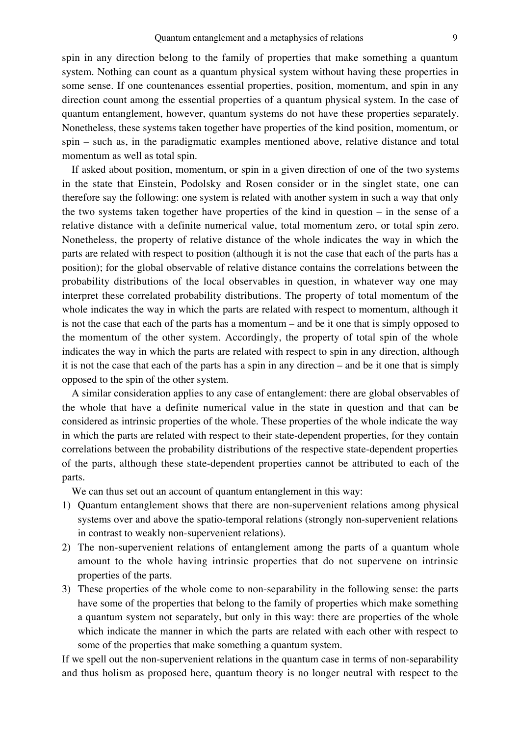spin in any direction belong to the family of properties that make something a quantum system. Nothing can count as a quantum physical system without having these properties in some sense. If one countenances essential properties, position, momentum, and spin in any direction count among the essential properties of a quantum physical system. In the case of quantum entanglement, however, quantum systems do not have these properties separately. Nonetheless, these systems taken together have properties of the kind position, momentum, or spin – such as, in the paradigmatic examples mentioned above, relative distance and total momentum as well as total spin.

If asked about position, momentum, or spin in a given direction of one of the two systems in the state that Einstein, Podolsky and Rosen consider or in the singlet state, one can therefore say the following: one system is related with another system in such a way that only the two systems taken together have properties of the kind in question – in the sense of a relative distance with a definite numerical value, total momentum zero, or total spin zero. Nonetheless, the property of relative distance of the whole indicates the way in which the parts are related with respect to position (although it is not the case that each of the parts has a position); for the global observable of relative distance contains the correlations between the probability distributions of the local observables in question, in whatever way one may interpret these correlated probability distributions. The property of total momentum of the whole indicates the way in which the parts are related with respect to momentum, although it is not the case that each of the parts has a momentum – and be it one that is simply opposed to the momentum of the other system. Accordingly, the property of total spin of the whole indicates the way in which the parts are related with respect to spin in any direction, although it is not the case that each of the parts has a spin in any direction – and be it one that is simply opposed to the spin of the other system.

A similar consideration applies to any case of entanglement: there are global observables of the whole that have a definite numerical value in the state in question and that can be considered as intrinsic properties of the whole. These properties of the whole indicate the way in which the parts are related with respect to their state-dependent properties, for they contain correlations between the probability distributions of the respective state-dependent properties of the parts, although these state-dependent properties cannot be attributed to each of the parts.

We can thus set out an account of quantum entanglement in this way:

- 1) Quantum entanglement shows that there are non-supervenient relations among physical systems over and above the spatio-temporal relations (strongly non-supervenient relations in contrast to weakly non-supervenient relations).
- 2) The non-supervenient relations of entanglement among the parts of a quantum whole amount to the whole having intrinsic properties that do not supervene on intrinsic properties of the parts.
- 3) These properties of the whole come to non-separability in the following sense: the parts have some of the properties that belong to the family of properties which make something a quantum system not separately, but only in this way: there are properties of the whole which indicate the manner in which the parts are related with each other with respect to some of the properties that make something a quantum system.

If we spell out the non-supervenient relations in the quantum case in terms of non-separability and thus holism as proposed here, quantum theory is no longer neutral with respect to the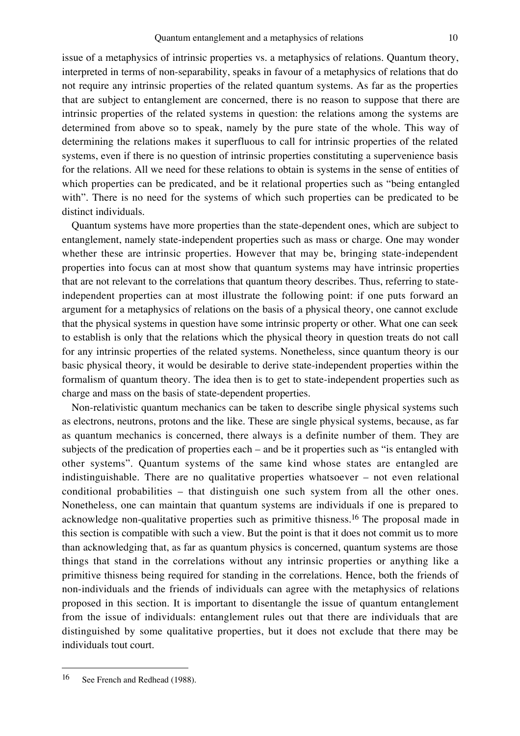issue of a metaphysics of intrinsic properties vs. a metaphysics of relations. Quantum theory, interpreted in terms of non-separability, speaks in favour of a metaphysics of relations that do not require any intrinsic properties of the related quantum systems. As far as the properties that are subject to entanglement are concerned, there is no reason to suppose that there are intrinsic properties of the related systems in question: the relations among the systems are determined from above so to speak, namely by the pure state of the whole. This way of determining the relations makes it superfluous to call for intrinsic properties of the related systems, even if there is no question of intrinsic properties constituting a supervenience basis for the relations. All we need for these relations to obtain is systems in the sense of entities of which properties can be predicated, and be it relational properties such as "being entangled with". There is no need for the systems of which such properties can be predicated to be distinct individuals.

Quantum systems have more properties than the state-dependent ones, which are subject to entanglement, namely state-independent properties such as mass or charge. One may wonder whether these are intrinsic properties. However that may be, bringing state-independent properties into focus can at most show that quantum systems may have intrinsic properties that are not relevant to the correlations that quantum theory describes. Thus, referring to stateindependent properties can at most illustrate the following point: if one puts forward an argument for a metaphysics of relations on the basis of a physical theory, one cannot exclude that the physical systems in question have some intrinsic property or other. What one can seek to establish is only that the relations which the physical theory in question treats do not call for any intrinsic properties of the related systems. Nonetheless, since quantum theory is our basic physical theory, it would be desirable to derive state-independent properties within the formalism of quantum theory. The idea then is to get to state-independent properties such as charge and mass on the basis of state-dependent properties.

Non-relativistic quantum mechanics can be taken to describe single physical systems such as electrons, neutrons, protons and the like. These are single physical systems, because, as far as quantum mechanics is concerned, there always is a definite number of them. They are subjects of the predication of properties each – and be it properties such as "is entangled with other systems". Quantum systems of the same kind whose states are entangled are indistinguishable. There are no qualitative properties whatsoever – not even relational conditional probabilities – that distinguish one such system from all the other ones. Nonetheless, one can maintain that quantum systems are individuals if one is prepared to acknowledge non-qualitative properties such as primitive thisness.16 The proposal made in this section is compatible with such a view. But the point is that it does not commit us to more than acknowledging that, as far as quantum physics is concerned, quantum systems are those things that stand in the correlations without any intrinsic properties or anything like a primitive thisness being required for standing in the correlations. Hence, both the friends of non-individuals and the friends of individuals can agree with the metaphysics of relations proposed in this section. It is important to disentangle the issue of quantum entanglement from the issue of individuals: entanglement rules out that there are individuals that are distinguished by some qualitative properties, but it does not exclude that there may be individuals tout court.

<sup>16</sup> See French and Redhead (1988).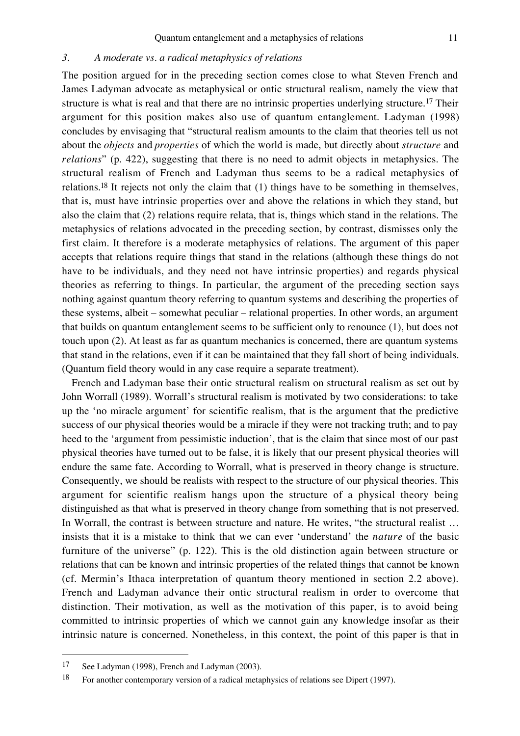# *3. A moderate vs. a radical metaphysics of relations*

The position argued for in the preceding section comes close to what Steven French and James Ladyman advocate as metaphysical or ontic structural realism, namely the view that structure is what is real and that there are no intrinsic properties underlying structure.<sup>17</sup> Their argument for this position makes also use of quantum entanglement. Ladyman (1998) concludes by envisaging that "structural realism amounts to the claim that theories tell us not about the *objects* and *properties* of which the world is made, but directly about *structure* and *relations*" (p. 422), suggesting that there is no need to admit objects in metaphysics. The structural realism of French and Ladyman thus seems to be a radical metaphysics of relations.18 It rejects not only the claim that (1) things have to be something in themselves, that is, must have intrinsic properties over and above the relations in which they stand, but also the claim that (2) relations require relata, that is, things which stand in the relations. The metaphysics of relations advocated in the preceding section, by contrast, dismisses only the first claim. It therefore is a moderate metaphysics of relations. The argument of this paper accepts that relations require things that stand in the relations (although these things do not have to be individuals, and they need not have intrinsic properties) and regards physical theories as referring to things. In particular, the argument of the preceding section says nothing against quantum theory referring to quantum systems and describing the properties of these systems, albeit – somewhat peculiar – relational properties. In other words, an argument that builds on quantum entanglement seems to be sufficient only to renounce (1), but does not touch upon (2). At least as far as quantum mechanics is concerned, there are quantum systems that stand in the relations, even if it can be maintained that they fall short of being individuals. (Quantum field theory would in any case require a separate treatment).

French and Ladyman base their ontic structural realism on structural realism as set out by John Worrall (1989). Worrall's structural realism is motivated by two considerations: to take up the 'no miracle argument' for scientific realism, that is the argument that the predictive success of our physical theories would be a miracle if they were not tracking truth; and to pay heed to the 'argument from pessimistic induction', that is the claim that since most of our past physical theories have turned out to be false, it is likely that our present physical theories will endure the same fate. According to Worrall, what is preserved in theory change is structure. Consequently, we should be realists with respect to the structure of our physical theories. This argument for scientific realism hangs upon the structure of a physical theory being distinguished as that what is preserved in theory change from something that is not preserved. In Worrall, the contrast is between structure and nature. He writes, "the structural realist ... insists that it is a mistake to think that we can ever 'understand' the *nature* of the basic furniture of the universe" (p. 122). This is the old distinction again between structure or relations that can be known and intrinsic properties of the related things that cannot be known (cf. Mermin's Ithaca interpretation of quantum theory mentioned in section 2.2 above). French and Ladyman advance their ontic structural realism in order to overcome that distinction. Their motivation, as well as the motivation of this paper, is to avoid being committed to intrinsic properties of which we cannot gain any knowledge insofar as their intrinsic nature is concerned. Nonetheless, in this context, the point of this paper is that in

<sup>17</sup> See Ladyman (1998), French and Ladyman (2003).

<sup>&</sup>lt;sup>18</sup> For another contemporary version of a radical metaphysics of relations see Dipert (1997).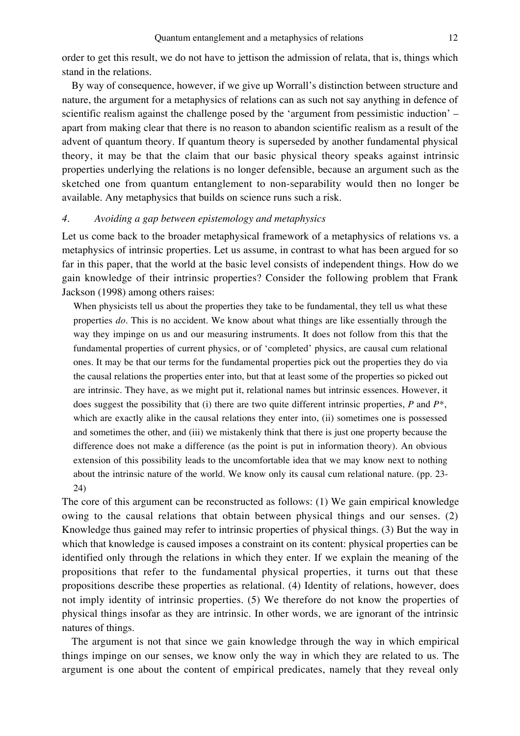order to get this result, we do not have to jettison the admission of relata, that is, things which stand in the relations.

By way of consequence, however, if we give up Worrall's distinction between structure and nature, the argument for a metaphysics of relations can as such not say anything in defence of scientific realism against the challenge posed by the 'argument from pessimistic induction' – apart from making clear that there is no reason to abandon scientific realism as a result of the advent of quantum theory. If quantum theory is superseded by another fundamental physical theory, it may be that the claim that our basic physical theory speaks against intrinsic properties underlying the relations is no longer defensible, because an argument such as the sketched one from quantum entanglement to non-separability would then no longer be available. Any metaphysics that builds on science runs such a risk.

## *4. Avoiding a gap between epistemology and metaphysics*

Let us come back to the broader metaphysical framework of a metaphysics of relations vs. a metaphysics of intrinsic properties. Let us assume, in contrast to what has been argued for so far in this paper, that the world at the basic level consists of independent things. How do we gain knowledge of their intrinsic properties? Consider the following problem that Frank Jackson (1998) among others raises:

When physicists tell us about the properties they take to be fundamental, they tell us what these properties *do*. This is no accident. We know about what things are like essentially through the way they impinge on us and our measuring instruments. It does not follow from this that the fundamental properties of current physics, or of 'completed' physics, are causal cum relational ones. It may be that our terms for the fundamental properties pick out the properties they do via the causal relations the properties enter into, but that at least some of the properties so picked out are intrinsic. They have, as we might put it, relational names but intrinsic essences. However, it does suggest the possibility that (i) there are two quite different intrinsic properties, *P* and *P\**, which are exactly alike in the causal relations they enter into, (ii) sometimes one is possessed and sometimes the other, and (iii) we mistakenly think that there is just one property because the difference does not make a difference (as the point is put in information theory). An obvious extension of this possibility leads to the uncomfortable idea that we may know next to nothing about the intrinsic nature of the world. We know only its causal cum relational nature. (pp. 23- 24)

The core of this argument can be reconstructed as follows: (1) We gain empirical knowledge owing to the causal relations that obtain between physical things and our senses. (2) Knowledge thus gained may refer to intrinsic properties of physical things. (3) But the way in which that knowledge is caused imposes a constraint on its content: physical properties can be identified only through the relations in which they enter. If we explain the meaning of the propositions that refer to the fundamental physical properties, it turns out that these propositions describe these properties as relational. (4) Identity of relations, however, does not imply identity of intrinsic properties. (5) We therefore do not know the properties of physical things insofar as they are intrinsic. In other words, we are ignorant of the intrinsic natures of things.

The argument is not that since we gain knowledge through the way in which empirical things impinge on our senses, we know only the way in which they are related to us. The argument is one about the content of empirical predicates, namely that they reveal only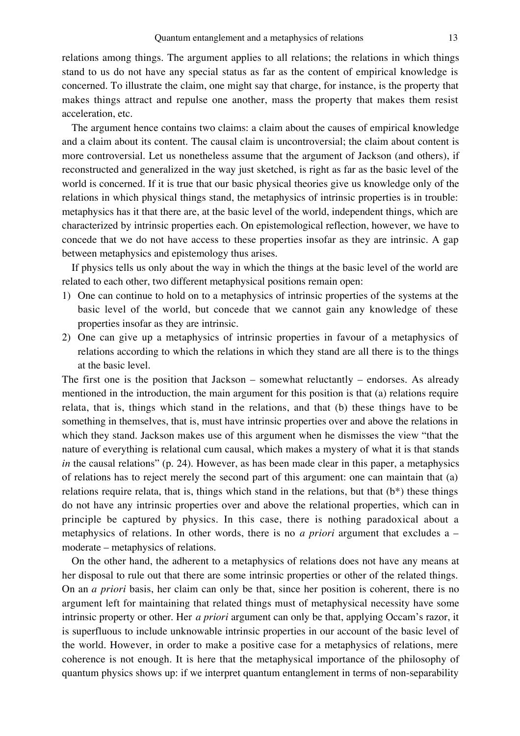relations among things. The argument applies to all relations; the relations in which things stand to us do not have any special status as far as the content of empirical knowledge is concerned. To illustrate the claim, one might say that charge, for instance, is the property that makes things attract and repulse one another, mass the property that makes them resist acceleration, etc.

The argument hence contains two claims: a claim about the causes of empirical knowledge and a claim about its content. The causal claim is uncontroversial; the claim about content is more controversial. Let us nonetheless assume that the argument of Jackson (and others), if reconstructed and generalized in the way just sketched, is right as far as the basic level of the world is concerned. If it is true that our basic physical theories give us knowledge only of the relations in which physical things stand, the metaphysics of intrinsic properties is in trouble: metaphysics has it that there are, at the basic level of the world, independent things, which are characterized by intrinsic properties each. On epistemological reflection, however, we have to concede that we do not have access to these properties insofar as they are intrinsic. A gap between metaphysics and epistemology thus arises.

If physics tells us only about the way in which the things at the basic level of the world are related to each other, two different metaphysical positions remain open:

- 1) One can continue to hold on to a metaphysics of intrinsic properties of the systems at the basic level of the world, but concede that we cannot gain any knowledge of these properties insofar as they are intrinsic.
- 2) One can give up a metaphysics of intrinsic properties in favour of a metaphysics of relations according to which the relations in which they stand are all there is to the things at the basic level.

The first one is the position that Jackson – somewhat reluctantly – endorses. As already mentioned in the introduction, the main argument for this position is that (a) relations require relata, that is, things which stand in the relations, and that (b) these things have to be something in themselves, that is, must have intrinsic properties over and above the relations in which they stand. Jackson makes use of this argument when he dismisses the view "that the nature of everything is relational cum causal, which makes a mystery of what it is that stands *in* the causal relations" (p. 24). However, as has been made clear in this paper, a metaphysics of relations has to reject merely the second part of this argument: one can maintain that (a) relations require relata, that is, things which stand in the relations, but that  $(b^*)$  these things do not have any intrinsic properties over and above the relational properties, which can in principle be captured by physics. In this case, there is nothing paradoxical about a metaphysics of relations. In other words, there is no *a priori* argument that excludes a – moderate – metaphysics of relations.

On the other hand, the adherent to a metaphysics of relations does not have any means at her disposal to rule out that there are some intrinsic properties or other of the related things. On an *a priori* basis, her claim can only be that, since her position is coherent, there is no argument left for maintaining that related things must of metaphysical necessity have some intrinsic property or other. Her *a priori* argument can only be that, applying Occam's razor, it is superfluous to include unknowable intrinsic properties in our account of the basic level of the world. However, in order to make a positive case for a metaphysics of relations, mere coherence is not enough. It is here that the metaphysical importance of the philosophy of quantum physics shows up: if we interpret quantum entanglement in terms of non-separability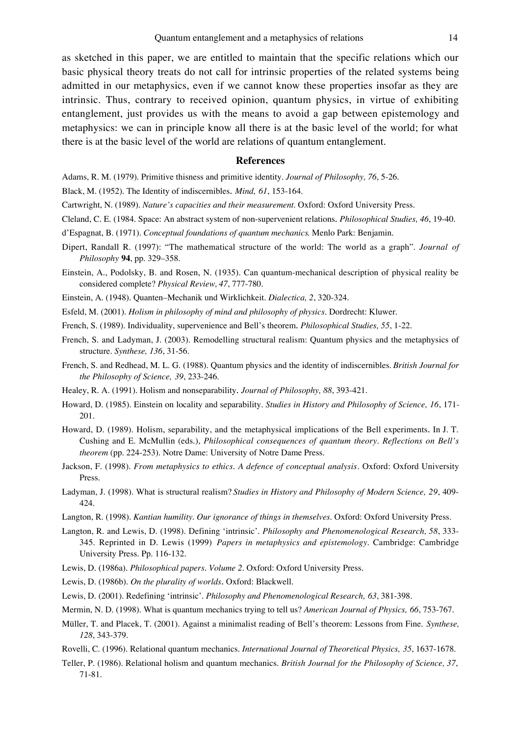as sketched in this paper, we are entitled to maintain that the specific relations which our basic physical theory treats do not call for intrinsic properties of the related systems being admitted in our metaphysics, even if we cannot know these properties insofar as they are intrinsic. Thus, contrary to received opinion, quantum physics, in virtue of exhibiting entanglement, just provides us with the means to avoid a gap between epistemology and metaphysics: we can in principle know all there is at the basic level of the world; for what there is at the basic level of the world are relations of quantum entanglement.

#### **References**

Adams, R. M. (1979). Primitive thisness and primitive identity. *Journal of Philosophy, 76*, 5-26.

- Black, M. (1952). The Identity of indiscernibles. *Mind, 61*, 153-164.
- Cartwright, N. (1989). *Nature's capacities and their measurement*. Oxford: Oxford University Press.
- Cleland, C. E. (1984. Space: An abstract system of non-supervenient relations. *Philosophical Studies, 46*, 19-40.
- d'Espagnat, B. (1971). *Conceptual foundations of quantum mechanics*. Menlo Park: Benjamin.
- Dipert, Randall R. (1997): "The mathematical structure of the world: The world as a graph". *Journal of Philosophy* **94**, pp. 329–358.
- Einstein, A., Podolsky, B. and Rosen, N. (1935). Can quantum-mechanical description of physical reality be considered complete? *Physical Review, 47*, 777-780.
- Einstein, A. (1948). Quanten–Mechanik und Wirklichkeit. *Dialectica, 2*, 320-324.
- Esfeld, M. (2001). *Holism in philosophy of mind and philosophy of physics.* Dordrecht: Kluwer.
- French, S. (1989). Individuality, supervenience and Bell's theorem. *Philosophical Studies, 55*, 1-22.
- French, S. and Ladyman, J. (2003). Remodelling structural realism: Quantum physics and the metaphysics of structure. *Synthese, 136*, 31-56.
- French, S. and Redhead, M. L. G. (1988). Quantum physics and the identity of indiscernibles. *British Journal for the Philosophy of Science, 39*, 233-246.
- Healey, R. A. (1991). Holism and nonseparability. *Journal of Philosophy, 88*, 393-421.
- Howard, D. (1985). Einstein on locality and separability. *Studies in History and Philosophy of Science, 16*, 171- 201.
- Howard, D. (1989). Holism, separability, and the metaphysical implications of the Bell experiments. In J. T. Cushing and E. McMullin (eds.), *Philosophical consequences of quantum theory. Reflections on Bell's theorem* (pp. 224-253). Notre Dame: University of Notre Dame Press.
- Jackson, F. (1998). *From metaphysics to ethics. A defence of conceptual analysis*. Oxford: Oxford University Press.
- Ladyman, J. (1998). What is structural realism? *Studies in History and Philosophy of Modern Science, 29*, 409- 424.
- Langton, R. (1998). *Kantian humility. Our ignorance of things in themselves*. Oxford: Oxford University Press.
- Langton, R. and Lewis, D. (1998). Defining 'intrinsic'. *Philosophy and Phenomenological Research, 58*, 333- 345. Reprinted in D. Lewis (1999) *Papers in metaphysics and epistemology*. Cambridge: Cambridge University Press. Pp. 116-132.
- Lewis, D. (1986a). *Philosophical papers. Volume 2*. Oxford: Oxford University Press.
- Lewis, D. (1986b). *On the plurality of worlds*. Oxford: Blackwell.
- Lewis, D. (2001). Redefining 'intrinsic'. *Philosophy and Phenomenological Research, 63*, 381-398.
- Mermin, N. D. (1998). What is quantum mechanics trying to tell us? *American Journal of Physics, 66*, 753-767.
- Müller, T. and Placek, T. (2001). Against a minimalist reading of Bell's theorem: Lessons from Fine. *Synthese, 128*, 343-379.
- Rovelli, C. (1996). Relational quantum mechanics. *International Journal of Theoretical Physics, 35*, 1637-1678.
- Teller, P. (1986). Relational holism and quantum mechanics. *British Journal for the Philosophy of Science, 37*, 71-81.